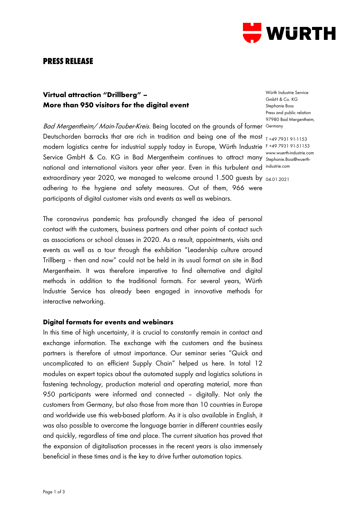

# **PRESS RELEASE**

## **Virtual attraction "Drillberg" – More than 950 visitors for the digital event**

*Bad Mergentheim/ Main-Tauber-Kreis.* Being located on the grounds of former Germany Deutschorden barracks that are rich in tradition and being one of the most  $_{-1+49.7931.91\cdot1153}$ modern logistics centre for industrial supply today in Europe, Würth Industrie F +49 7931 91-51153 Service GmbH & Co. KG in Bad Mergentheim continues to attract many Stephanie Boss@wuerthnational and international visitors year after year. Even in this turbulent and industrie.com extraordinary year 2020, we managed to welcome around 1.500 guests by <sub>04.01.2021</sub> adhering to the hygiene and safety measures. Out of them, 966 were participants of digital customer visits and events as well as webinars.

The coronavirus pandemic has profoundly changed the idea of personal contact with the customers, business partners and other points of contact such as associations or school classes in 2020. As a result, appointments, visits and events as well as a tour through the exhibition "Leadership culture around Trillberg – then and now" could not be held in its usual format on site in Bad Mergentheim. It was therefore imperative to find alternative and digital methods in addition to the traditional formats. For several years, Würth Industrie Service has already been engaged in innovative methods for interactive networking.

#### **Digital formats for events and webinars**

In this time of high uncertainty, it is crucial to constantly remain in contact and exchange information. The exchange with the customers and the business partners is therefore of utmost importance. Our seminar series "Quick and uncomplicated to an efficient Supply Chain" helped us here. In total 12 modules on expert topics about the automated supply and logistics solutions in fastening technology, production material and operating material, more than 950 participants were informed and connected – digitally. Not only the customers from Germany, but also those from more than 10 countries in Europe and worldwide use this web-based platform. As it is also available in English, it was also possible to overcome the language barrier in different countries easily and quickly, regardless of time and place. The current situation has proved that the expansion of digitalisation processes in the recent years is also immensely beneficial in these times and is the key to drive further automation topics.

Würth Industrie Service GmbH & Co. KG Stephanie Boss Press and public relation 97980 Bad Mergentheim,

Stephanie.Boss@wuerth-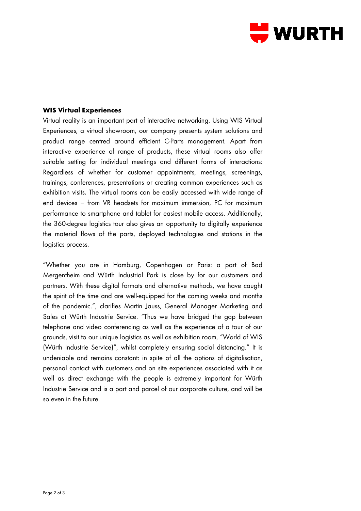

### **WIS Virtual Experiences**

Virtual reality is an important part of interactive networking. Using WIS Virtual Experiences, a virtual showroom, our company presents system solutions and product range centred around efficient C-Parts management. Apart from interactive experience of range of products, these virtual rooms also offer suitable setting for individual meetings and different forms of interactions: Regardless of whether for customer appointments, meetings, screenings, trainings, conferences, presentations or creating common experiences such as exhibition visits. The virtual rooms can be easily accessed with wide range of end devices − from VR headsets for maximum immersion, PC for maximum performance to smartphone and tablet for easiest mobile access. Additionally, the 360-degree logistics tour also gives an opportunity to digitally experience the material flows of the parts, deployed technologies and stations in the logistics process.

"Whether you are in Hamburg, Copenhagen or Paris: a part of Bad Mergentheim and Würth Industrial Park is close by for our customers and partners. With these digital formats and alternative methods, we have caught the spirit of the time and are well-equipped for the coming weeks and months of the pandemic.", clarifies Martin Jauss, General Manager Marketing and Sales at Würth Industrie Service. "Thus we have bridged the gap between telephone and video conferencing as well as the experience of a tour of our grounds, visit to our unique logistics as well as exhibition room, "World of WIS (Würth Industrie Service)", whilst completely ensuring social distancing." It is undeniable and remains constant: in spite of all the options of digitalisation, personal contact with customers and on site experiences associated with it as well as direct exchange with the people is extremely important for Würth Industrie Service and is a part and parcel of our corporate culture, and will be so even in the future.